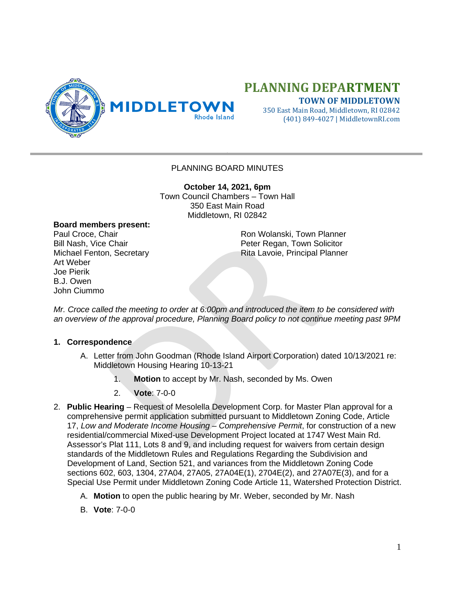

## **PLANNING DEPARTMENT**

**TOWN OF MIDDLETOWN** 350 East Main Road, Middletown, RI 02842 (401) 849-4027 | MiddletownRI.com

## PLANNING BOARD MINUTES

**October 14, 2021, 6pm** Town Council Chambers – Town Hall 350 East Main Road Middletown, RI 02842

## **Board members present:**

Art Weber Joe Pierik B.J. Owen John Ciummo

Paul Croce, Chair **Ron Wolanski, Town Planner** Ron Wolanski, Town Planner Bill Nash, Vice Chair **Peter Regan, Town Solicitor** Peter Regan, Town Solicitor Michael Fenton, Secretary **Rita Lavoie, Principal Planner** 

*Mr. Croce called the meeting to order at 6:00pm and introduced the item to be considered with an overview of the approval procedure, Planning Board policy to not continue meeting past 9PM*

## **1. Correspondence**

- A. Letter from John Goodman (Rhode Island Airport Corporation) dated 10/13/2021 re: Middletown Housing Hearing 10-13-21
	- 1. **Motion** to accept by Mr. Nash, seconded by Ms. Owen
	- 2. **Vote**: 7-0-0
- 2. **Public Hearing** Request of Mesolella Development Corp. for Master Plan approval for a comprehensive permit application submitted pursuant to Middletown Zoning Code, Article 17, *Low and Moderate Income Housing – Comprehensive Permit*, for construction of a new residential/commercial Mixed-use Development Project located at 1747 West Main Rd. Assessor's Plat 111, Lots 8 and 9, and including request for waivers from certain design standards of the Middletown Rules and Regulations Regarding the Subdivision and Development of Land, Section 521, and variances from the Middletown Zoning Code sections 602, 603, 1304, 27A04, 27A05, 27A04E(1), 2704E(2), and 27A07E(3), and for a Special Use Permit under Middletown Zoning Code Article 11, Watershed Protection District.
	- A. **Motion** to open the public hearing by Mr. Weber, seconded by Mr. Nash
	- B. **Vote**: 7-0-0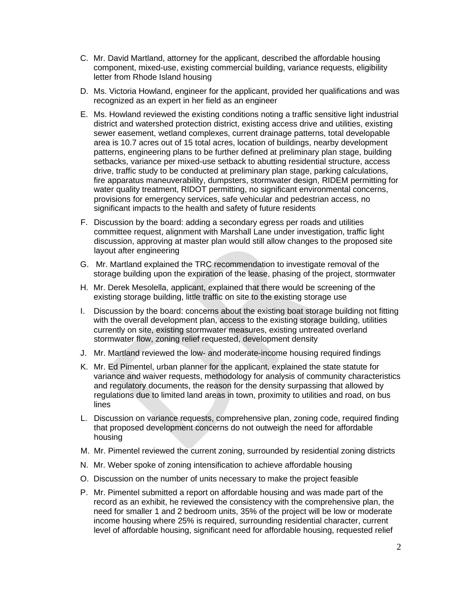- C. Mr. David Martland, attorney for the applicant, described the affordable housing component, mixed-use, existing commercial building, variance requests, eligibility letter from Rhode Island housing
- D. Ms. Victoria Howland, engineer for the applicant, provided her qualifications and was recognized as an expert in her field as an engineer
- E. Ms. Howland reviewed the existing conditions noting a traffic sensitive light industrial district and watershed protection district, existing access drive and utilities, existing sewer easement, wetland complexes, current drainage patterns, total developable area is 10.7 acres out of 15 total acres, location of buildings, nearby development patterns, engineering plans to be further defined at preliminary plan stage, building setbacks, variance per mixed-use setback to abutting residential structure, access drive, traffic study to be conducted at preliminary plan stage, parking calculations, fire apparatus maneuverability, dumpsters, stormwater design, RIDEM permitting for water quality treatment, RIDOT permitting, no significant environmental concerns, provisions for emergency services, safe vehicular and pedestrian access, no significant impacts to the health and safety of future residents
- F. Discussion by the board: adding a secondary egress per roads and utilities committee request, alignment with Marshall Lane under investigation, traffic light discussion, approving at master plan would still allow changes to the proposed site layout after engineering
- G. Mr. Martland explained the TRC recommendation to investigate removal of the storage building upon the expiration of the lease, phasing of the project, stormwater
- H. Mr. Derek Mesolella, applicant, explained that there would be screening of the existing storage building, little traffic on site to the existing storage use
- I. Discussion by the board: concerns about the existing boat storage building not fitting with the overall development plan, access to the existing storage building, utilities currently on site, existing stormwater measures, existing untreated overland stormwater flow, zoning relief requested, development density
- J. Mr. Martland reviewed the low- and moderate-income housing required findings
- K. Mr. Ed Pimentel, urban planner for the applicant, explained the state statute for variance and waiver requests, methodology for analysis of community characteristics and regulatory documents, the reason for the density surpassing that allowed by regulations due to limited land areas in town, proximity to utilities and road, on bus lines
- L. Discussion on variance requests, comprehensive plan, zoning code, required finding that proposed development concerns do not outweigh the need for affordable housing
- M. Mr. Pimentel reviewed the current zoning, surrounded by residential zoning districts
- N. Mr. Weber spoke of zoning intensification to achieve affordable housing
- O. Discussion on the number of units necessary to make the project feasible
- P. Mr. Pimentel submitted a report on affordable housing and was made part of the record as an exhibit, he reviewed the consistency with the comprehensive plan, the need for smaller 1 and 2 bedroom units, 35% of the project will be low or moderate income housing where 25% is required, surrounding residential character, current level of affordable housing, significant need for affordable housing, requested relief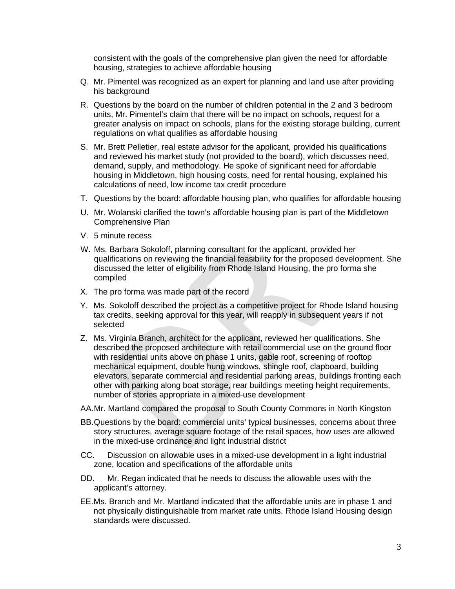consistent with the goals of the comprehensive plan given the need for affordable housing, strategies to achieve affordable housing

- Q. Mr. Pimentel was recognized as an expert for planning and land use after providing his background
- R. Questions by the board on the number of children potential in the 2 and 3 bedroom units, Mr. Pimentel's claim that there will be no impact on schools, request for a greater analysis on impact on schools, plans for the existing storage building, current regulations on what qualifies as affordable housing
- S. Mr. Brett Pelletier, real estate advisor for the applicant, provided his qualifications and reviewed his market study (not provided to the board), which discusses need, demand, supply, and methodology. He spoke of significant need for affordable housing in Middletown, high housing costs, need for rental housing, explained his calculations of need, low income tax credit procedure
- T. Questions by the board: affordable housing plan, who qualifies for affordable housing
- U. Mr. Wolanski clarified the town's affordable housing plan is part of the Middletown Comprehensive Plan
- V. 5 minute recess
- W. Ms. Barbara Sokoloff, planning consultant for the applicant, provided her qualifications on reviewing the financial feasibility for the proposed development. She discussed the letter of eligibility from Rhode Island Housing, the pro forma she compiled
- X. The pro forma was made part of the record
- Y. Ms. Sokoloff described the project as a competitive project for Rhode Island housing tax credits, seeking approval for this year, will reapply in subsequent years if not selected
- Z. Ms. Virginia Branch, architect for the applicant, reviewed her qualifications. She described the proposed architecture with retail commercial use on the ground floor with residential units above on phase 1 units, gable roof, screening of rooftop mechanical equipment, double hung windows, shingle roof, clapboard, building elevators, separate commercial and residential parking areas, buildings fronting each other with parking along boat storage, rear buildings meeting height requirements, number of stories appropriate in a mixed-use development
- AA.Mr. Martland compared the proposal to South County Commons in North Kingston
- BB.Questions by the board: commercial units' typical businesses, concerns about three story structures, average square footage of the retail spaces, how uses are allowed in the mixed-use ordinance and light industrial district
- CC. Discussion on allowable uses in a mixed-use development in a light industrial zone, location and specifications of the affordable units
- DD. Mr. Regan indicated that he needs to discuss the allowable uses with the applicant's attorney.
- EE.Ms. Branch and Mr. Martland indicated that the affordable units are in phase 1 and not physically distinguishable from market rate units. Rhode Island Housing design standards were discussed.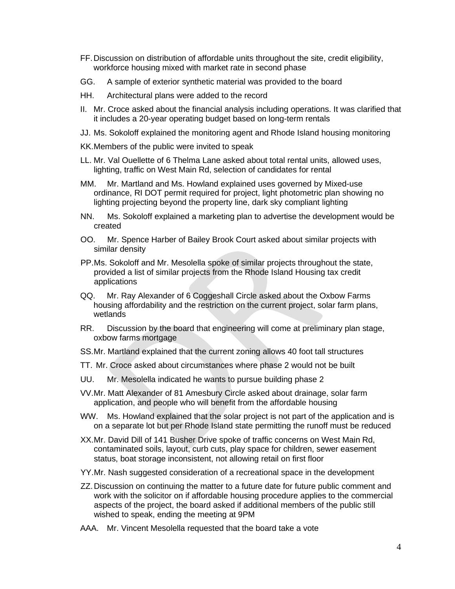- FF.Discussion on distribution of affordable units throughout the site, credit eligibility, workforce housing mixed with market rate in second phase
- GG. A sample of exterior synthetic material was provided to the board
- HH. Architectural plans were added to the record
- II. Mr. Croce asked about the financial analysis including operations. It was clarified that it includes a 20-year operating budget based on long-term rentals
- JJ. Ms. Sokoloff explained the monitoring agent and Rhode Island housing monitoring
- KK.Members of the public were invited to speak
- LL. Mr. Val Ouellette of 6 Thelma Lane asked about total rental units, allowed uses, lighting, traffic on West Main Rd, selection of candidates for rental
- MM. Mr. Martland and Ms. Howland explained uses governed by Mixed-use ordinance, RI DOT permit required for project, light photometric plan showing no lighting projecting beyond the property line, dark sky compliant lighting
- NN. Ms. Sokoloff explained a marketing plan to advertise the development would be created
- OO. Mr. Spence Harber of Bailey Brook Court asked about similar projects with similar density
- PP.Ms. Sokoloff and Mr. Mesolella spoke of similar projects throughout the state, provided a list of similar projects from the Rhode Island Housing tax credit applications
- QQ. Mr. Ray Alexander of 6 Coggeshall Circle asked about the Oxbow Farms housing affordability and the restriction on the current project, solar farm plans, wetlands
- RR. Discussion by the board that engineering will come at preliminary plan stage, oxbow farms mortgage
- SS.Mr. Martland explained that the current zoning allows 40 foot tall structures
- TT. Mr. Croce asked about circumstances where phase 2 would not be built
- UU. Mr. Mesolella indicated he wants to pursue building phase 2
- VV.Mr. Matt Alexander of 81 Amesbury Circle asked about drainage, solar farm application, and people who will benefit from the affordable housing
- WW. Ms. Howland explained that the solar project is not part of the application and is on a separate lot but per Rhode Island state permitting the runoff must be reduced
- XX.Mr. David Dill of 141 Busher Drive spoke of traffic concerns on West Main Rd, contaminated soils, layout, curb cuts, play space for children, sewer easement status, boat storage inconsistent, not allowing retail on first floor
- YY.Mr. Nash suggested consideration of a recreational space in the development
- ZZ.Discussion on continuing the matter to a future date for future public comment and work with the solicitor on if affordable housing procedure applies to the commercial aspects of the project, the board asked if additional members of the public still wished to speak, ending the meeting at 9PM
- AAA. Mr. Vincent Mesolella requested that the board take a vote